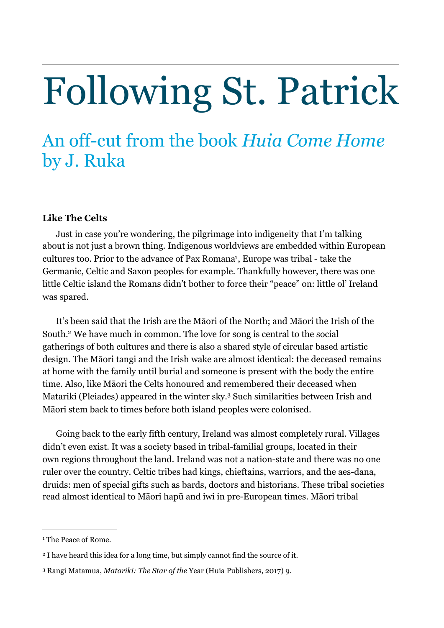# Following St. Patrick

## An off-cut from the book *Huia Come Home*  by J. Ruka

#### **Like The Celts**

<span id="page-0-3"></span>Just in case you're wondering, the pilgrimage into indigeneity that I'm talking about is not just a brown thing. Indigenous worldviews are embedded within European cultures too. Prior to the advance of Pax Romana<sup>[1](#page-0-0)</sup>, Europe was tribal - take the Germanic, Celtic and Saxon peoples for example. Thankfully however, there was one little Celtic island the Romans didn't bother to force their "peace" on: little ol' Ireland was spared.

<span id="page-0-4"></span>It's been said that the Irish are the Māori of the North; and Māori the Irish of the South.<sup>[2](#page-0-1)</sup> We have much in common. The love for song is central to the social gatherings of both cultures and there is also a shared style of circular based artistic design. The Māori tangi and the Irish wake are almost identical: the deceased remains at home with the family until burial and someone is present with the body the entire time. Also, like Māori the Celts honoured and remembered their deceased when Matariki (Pleiades) appeared in the winter sky.<sup>[3](#page-0-2)</sup> Such similarities between Irish and Māori stem back to times before both island peoples were colonised.

<span id="page-0-5"></span>Going back to the early fifth century, Ireland was almost completely rural. Villages didn't even exist. It was a society based in tribal-familial groups, located in their own regions throughout the land. Ireland was not a nation-state and there was no one ruler over the country. Celtic tribes had kings, chieftains, warriors, and the aes-dana, druids: men of special gifts such as bards, doctors and historians. These tribal societies read almost identical to Māori hapū and iwi in pre-European times. Māori tribal

<span id="page-0-0"></span><sup>&</sup>lt;sup>[1](#page-0-3)</sup> The Peace of Rome.

<span id="page-0-1"></span><sup>&</sup>lt;sup>[2](#page-0-4)</sup> I have heard this idea for a long time, but simply cannot find the source of it.

<span id="page-0-2"></span><sup>&</sup>lt;sup>[3](#page-0-5)</sup> Rangi Matamua, *Matariki: The Star of the* Year (Huia Publishers, 2017) 9.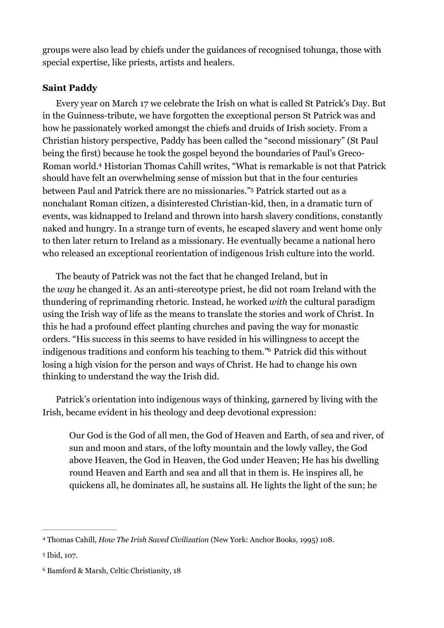groups were also lead by chiefs under the guidances of recognised tohunga, those with special expertise, like priests, artists and healers.

### **Saint Paddy**

<span id="page-1-3"></span>Every year on March 17 we celebrate the Irish on what is called St Patrick's Day. But in the Guinness-tribute, we have forgotten the exceptional person St Patrick was and how he passionately worked amongst the chiefs and druids of Irish society. From a Christian history perspective, Paddy has been called the "second missionary" (St Paul being the first) because he took the gospel beyond the boundaries of Paul's Greco-Roman world[.](#page-1-0)<sup>[4](#page-1-0)</sup> Historian Thomas Cahill writes, "What is remarkable is not that Patrick should have felt an overwhelming sense of mission but that in the four centuries between Paul and Patrick there are no missionaries."<sup>[5](#page-1-1)</sup> Patrick started out as a nonchalant Roman citizen, a disinterested Christian-kid, then, in a dramatic turn of events, was kidnapped to Ireland and thrown into harsh slavery conditions, constantly naked and hungry. In a strange turn of events, he escaped slavery and went home only to then later return to Ireland as a missionary. He eventually became a national hero who released an exceptional reorientation of indigenous Irish culture into the world.

<span id="page-1-4"></span>The beauty of Patrick was not the fact that he changed Ireland, but in the *way* he changed it. As an anti-stereotype priest, he did not roam Ireland with the thundering of reprimanding rhetoric. Instead, he worked *with* the cultural paradigm using the Irish way of life as the means to translate the stories and work of Christ. In this he had a profound effect planting churches and paving the way for monastic orders. "His success in this seems to have resided in his willingness to accept the indigenous traditions and conform his teaching to them.["](#page-1-2)<sup>[6](#page-1-2)</sup> Patrick did this without losing a high vision for the person and ways of Christ. He had to change his own thinking to understand the way the Irish did.

Patrick's orientation into indigenous ways of thinking, garnered by living with the Irish, became evident in his theology and deep devotional expression:

<span id="page-1-5"></span>Our God is the God of all men, the God of Heaven and Earth, of sea and river, of sun and moon and stars, of the lofty mountain and the lowly valley, the God above Heaven, the God in Heaven, the God under Heaven; He has his dwelling round Heaven and Earth and sea and all that in them is. He inspires all, he quickens all, he dominates all, he sustains all. He lights the light of the sun; he

<span id="page-1-0"></span>Thomas Cahill, *How The Irish Saved Civilization* (New York: Anchor Books, 1995) 108. [4](#page-1-3)

<span id="page-1-1"></span><sup>&</sup>lt;sup>[5](#page-1-4)</sup> Ibid, 107.

<span id="page-1-2"></span><sup>&</sup>lt;sup>[6](#page-1-5)</sup> Bamford & Marsh, Celtic Christianity, 18